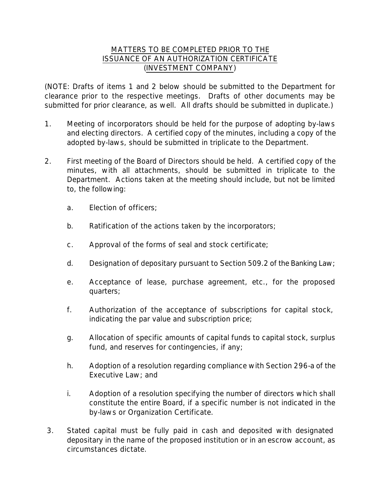## MATTERS TO BE COMPLETED PRIOR TO THE ISSUANCE OF AN AUTHORIZATION CERTIFICATE (INVESTMENT COMPANY)

(NOTE: Drafts of items 1 and 2 below should be submitted to the Department for clearance prior to the respective meetings. Drafts of other documents may be submitted for prior clearance, as well. All drafts should be submitted in duplicate.)

- 1. Meeting of incorporators should be held for the purpose of adopting by-laws and electing directors. A certified copy of the minutes, including a copy of the adopted by-laws, should be submitted in triplicate to the Department.
- 2. First meeting of the Board of Directors should be held. A certified copy of the minutes, with all attachments, should be submitted in triplicate to the Department. Actions taken at the meeting should include, but not be limited to, the following:
	- a. Election of officers;
	- b. Ratification of the actions taken by the incorporators;
	- c. Approval of the forms of seal and stock certificate;
	- d. Designation of depositary pursuant to Section 509.2 of the Banking Law;
	- e. Acceptance of lease, purchase agreement, etc., for the proposed quarters;
	- f. Authorization of the acceptance of subscriptions for capital stock, indicating the par value and subscription price;
	- g. Allocation of specific amounts of capital funds to capital stock, surplus fund, and reserves for contingencies, if any;
	- h. Adoption of a resolution regarding compliance with Section 296-a of the Executive Law; and
	- i. Adoption of a resolution specifying the number of directors which shall constitute the entire Board, if a specific number is not indicated in the by-laws or Organization Certificate.
- 3. Stated capital must be fully paid in cash and deposited with designated depositary in the name of the proposed institution or in an escrow account, as circumstances dictate.